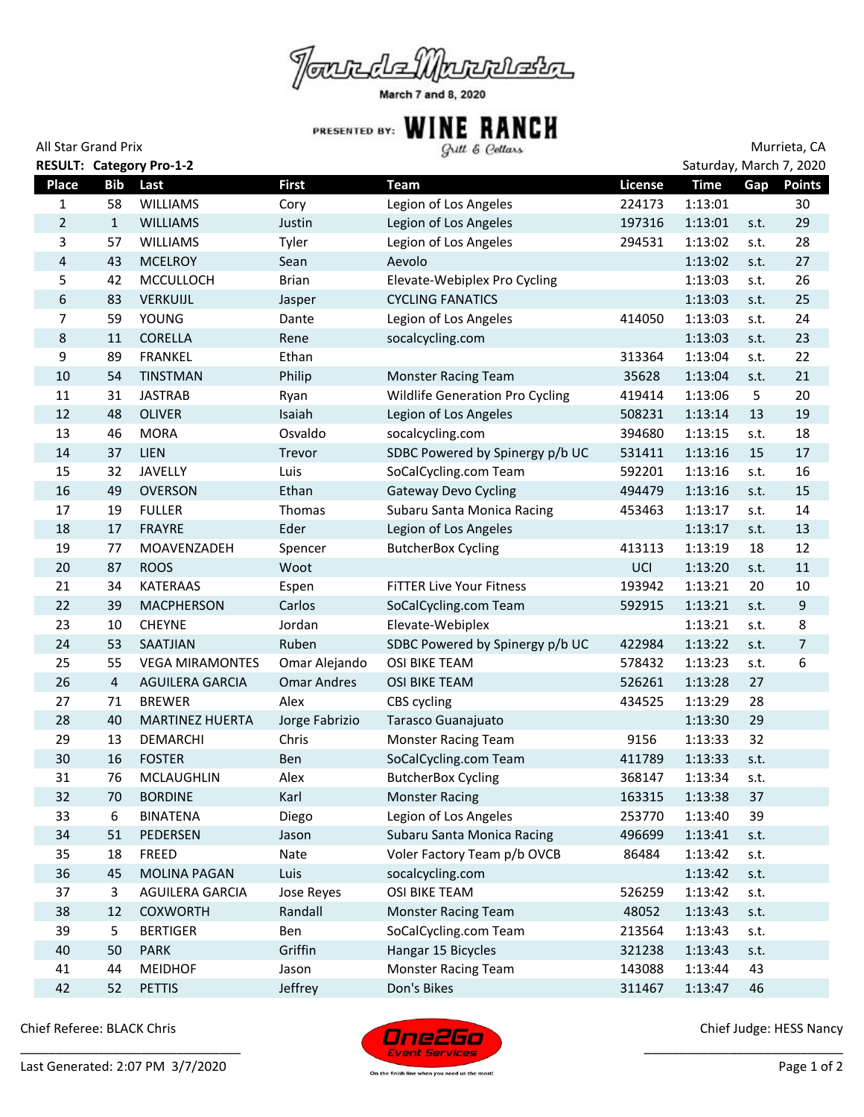

March 7 and 8, 2020

| Grill & Cellars |
|-----------------|
|-----------------|

| All Star Grand Prix |                |                                 |                    | Gull & Cellars                         |         |             | Murrieta, CA<br>Saturday, March 7, 2020 |               |  |
|---------------------|----------------|---------------------------------|--------------------|----------------------------------------|---------|-------------|-----------------------------------------|---------------|--|
|                     |                | <b>RESULT: Category Pro-1-2</b> |                    |                                        |         |             |                                         |               |  |
| <b>Place</b>        | <b>Bib</b>     | Last                            | <b>First</b>       | <b>Team</b>                            | License | <b>Time</b> | Gap                                     | <b>Points</b> |  |
| 1                   | 58             | <b>WILLIAMS</b>                 | Cory               | Legion of Los Angeles                  | 224173  | 1:13:01     |                                         | 30            |  |
| $\overline{2}$      | $\mathbf{1}$   | <b>WILLIAMS</b>                 | Justin             | Legion of Los Angeles                  | 197316  | 1:13:01     | s.t.                                    | 29            |  |
| 3                   | 57             | <b>WILLIAMS</b>                 | Tyler              | Legion of Los Angeles                  | 294531  | 1:13:02     | s.t.                                    | 28            |  |
| 4                   | 43             | <b>MCELROY</b>                  | Sean               | Aevolo                                 |         | 1:13:02     | s.t.                                    | 27            |  |
| 5                   | 42             | <b>MCCULLOCH</b>                | <b>Brian</b>       | Elevate-Webiplex Pro Cycling           |         | 1:13:03     | s.t.                                    | 26            |  |
| 6                   | 83             | VERKUIJL                        | Jasper             | <b>CYCLING FANATICS</b>                |         | 1:13:03     | s.t.                                    | 25            |  |
| 7                   | 59             | <b>YOUNG</b>                    | Dante              | Legion of Los Angeles                  | 414050  | 1:13:03     | s.t.                                    | 24            |  |
| 8                   | 11             | <b>CORELLA</b>                  | Rene               | socalcycling.com                       |         | 1:13:03     | s.t.                                    | 23            |  |
| 9                   | 89             | <b>FRANKEL</b>                  | Ethan              |                                        | 313364  | 1:13:04     | s.t.                                    | 22            |  |
| 10                  | 54             | <b>TINSTMAN</b>                 | Philip             | <b>Monster Racing Team</b>             | 35628   | 1:13:04     | s.t.                                    | 21            |  |
| 11                  | 31             | <b>JASTRAB</b>                  | Ryan               | <b>Wildlife Generation Pro Cycling</b> | 419414  | 1:13:06     | 5                                       | 20            |  |
| 12                  | 48             | <b>OLIVER</b>                   | Isaiah             | Legion of Los Angeles                  | 508231  | 1:13:14     | 13                                      | 19            |  |
| 13                  | 46             | <b>MORA</b>                     | Osvaldo            | socalcycling.com                       | 394680  | 1:13:15     | s.t.                                    | 18            |  |
| 14                  | 37             | LIEN                            | <b>Trevor</b>      | SDBC Powered by Spinergy p/b UC        | 531411  | 1:13:16     | 15                                      | 17            |  |
| 15                  | 32             | <b>JAVELLY</b>                  | Luis               | SoCalCycling.com Team                  | 592201  | 1:13:16     | s.t.                                    | 16            |  |
| 16                  | 49             | <b>OVERSON</b>                  | Ethan              | <b>Gateway Devo Cycling</b>            | 494479  | 1:13:16     | s.t.                                    | 15            |  |
| 17                  | 19             | <b>FULLER</b>                   | Thomas             | Subaru Santa Monica Racing             | 453463  | 1:13:17     | s.t.                                    | 14            |  |
| 18                  | 17             | <b>FRAYRE</b>                   | Eder               | Legion of Los Angeles                  |         | 1:13:17     | s.t.                                    | 13            |  |
| 19                  | 77             | MOAVENZADEH                     | Spencer            | <b>ButcherBox Cycling</b>              | 413113  | 1:13:19     | 18                                      | 12            |  |
| 20                  | 87             | <b>ROOS</b>                     | Woot               |                                        | UCI     | 1:13:20     | s.t.                                    | 11            |  |
| 21                  | 34             | <b>KATERAAS</b>                 | Espen              | <b>FITTER Live Your Fitness</b>        | 193942  | 1:13:21     | 20                                      | 10            |  |
| 22                  | 39             | <b>MACPHERSON</b>               | Carlos             | SoCalCycling.com Team                  | 592915  | 1:13:21     | s.t.                                    | 9             |  |
| 23                  | 10             | <b>CHEYNE</b>                   | Jordan             | Elevate-Webiplex                       |         | 1:13:21     | s.t.                                    | 8             |  |
| 24                  | 53             | <b>SAATJIAN</b>                 | Ruben              | SDBC Powered by Spinergy p/b UC        | 422984  | 1:13:22     | s.t.                                    | 7             |  |
| 25                  | 55             | <b>VEGA MIRAMONTES</b>          | Omar Alejando      | OSI BIKE TEAM                          | 578432  | 1:13:23     | s.t.                                    | 6             |  |
| 26                  | $\overline{4}$ | AGUILERA GARCIA                 | <b>Omar Andres</b> | <b>OSI BIKE TEAM</b>                   | 526261  | 1:13:28     | 27                                      |               |  |
| 27                  | 71             | <b>BREWER</b>                   | Alex               | CBS cycling                            | 434525  | 1:13:29     | 28                                      |               |  |
| 28                  | 40             | <b>MARTINEZ HUERTA</b>          | Jorge Fabrizio     | Tarasco Guanajuato                     |         | 1:13:30     | 29                                      |               |  |
| 29                  | 13             | DEMARCHI                        | Chris              | <b>Monster Racing Team</b>             | 9156    | 1:13:33     | 32                                      |               |  |
| 30                  | 16             | <b>FOSTER</b>                   | Ben                | SoCalCycling.com Team                  | 411789  | 1:13:33     | s.t.                                    |               |  |
| 31                  | 76             | MCLAUGHLIN                      | Alex               | <b>ButcherBox Cycling</b>              | 368147  | 1:13:34     | s.t.                                    |               |  |
| 32                  | 70             | <b>BORDINE</b>                  | Karl               | <b>Monster Racing</b>                  | 163315  | 1:13:38     | 37                                      |               |  |
| 33                  | 6              | <b>BINATENA</b>                 | Diego              | Legion of Los Angeles                  | 253770  | 1:13:40     | 39                                      |               |  |
| 34                  | 51             | PEDERSEN                        | Jason              | Subaru Santa Monica Racing             | 496699  | 1:13:41     | s.t.                                    |               |  |
| 35                  | 18             | FREED                           | Nate               | Voler Factory Team p/b OVCB            | 86484   | 1:13:42     | s.t.                                    |               |  |
| 36                  | 45             | <b>MOLINA PAGAN</b>             | Luis               | socalcycling.com                       |         | 1:13:42     | s.t.                                    |               |  |
| 37                  | 3              | AGUILERA GARCIA                 | Jose Reyes         | OSI BIKE TEAM                          | 526259  | 1:13:42     | s.t.                                    |               |  |
| 38                  | 12             | <b>COXWORTH</b>                 | Randall            | <b>Monster Racing Team</b>             | 48052   | 1:13:43     | s.t.                                    |               |  |
| 39                  | 5              | <b>BERTIGER</b>                 | Ben                | SoCalCycling.com Team                  | 213564  | 1:13:43     | s.t.                                    |               |  |
| 40                  | 50             | <b>PARK</b>                     | Griffin            | Hangar 15 Bicycles                     | 321238  | 1:13:43     | s.t.                                    |               |  |
| 41                  | 44             | <b>MEIDHOF</b>                  | Jason              | <b>Monster Racing Team</b>             | 143088  | 1:13:44     | 43                                      |               |  |
| 42                  | 52             | <b>PETTIS</b>                   | Jeffrey            | Don's Bikes                            | 311467  | 1:13:47     | 46                                      |               |  |

Chief Referee: BLACK Chris



Chief Judge: HESS Nancy

\_\_\_\_\_\_\_\_\_\_\_\_\_\_\_\_\_\_\_\_\_\_\_\_\_\_\_\_